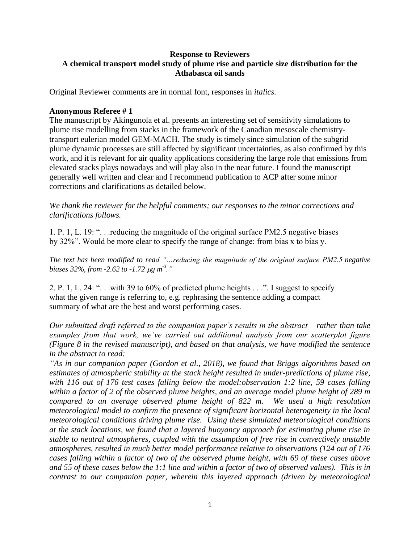# **Response to Reviewers A chemical transport model study of plume rise and particle size distribution for the Athabasca oil sands**

Original Reviewer comments are in normal font, responses in *italics.*

### **Anonymous Referee # 1**

The manuscript by Akingunola et al. presents an interesting set of sensitivity simulations to plume rise modelling from stacks in the framework of the Canadian mesoscale chemistrytransport eulerian model GEM-MACH. The study is timely since simulation of the subgrid plume dynamic processes are still affected by significant uncertainties, as also confirmed by this work, and it is relevant for air quality applications considering the large role that emissions from elevated stacks plays nowadays and will play also in the near future. I found the manuscript generally well written and clear and I recommend publication to ACP after some minor corrections and clarifications as detailed below.

*We thank the reviewer for the helpful comments; our responses to the minor corrections and clarifications follows.*

1. P. 1, L. 19: ". . .reducing the magnitude of the original surface PM2.5 negative biases by 32%". Would be more clear to specify the range of change: from bias x to bias y.

*The text has been modified to read "…reducing the magnitude of the original surface PM2.5 negative biases 32%, from -2.62 to -1.72*  $\mu$ *g m<sup>-3</sup>."* 

2. P. 1, L. 24: ". . .with 39 to 60% of predicted plume heights . . .". I suggest to specify what the given range is referring to, e.g. rephrasing the sentence adding a compact summary of what are the best and worst performing cases.

*Our submitted draft referred to the companion paper's results in the abstract – rather than take examples from that work, we've carried out additional analysis from our scatterplot figure (Figure 8 in the revised manuscript), and based on that analysis, we have modified the sentence in the abstract to read:*

*"As in our companion paper (Gordon et al., 2018), we found that Briggs algorithms based on estimates of atmospheric stability at the stack height resulted in under-predictions of plume rise, with 116 out of 176 test cases falling below the model:observation 1:2 line, 59 cases falling within a factor of 2 of the observed plume heights, and an average model plume height of 289 m compared to an average observed plume height of 822 m. We used a high resolution meteorological model to confirm the presence of significant horizontal heterogeneity in the local meteorological conditions driving plume rise. Using these simulated meteorological conditions at the stack locations, we found that a layered buoyancy approach for estimating plume rise in stable to neutral atmospheres, coupled with the assumption of free rise in convectively unstable atmospheres, resulted in much better model performance relative to observations (124 out of 176 cases falling within a factor of two of the observed plume height, with 69 of these cases above and 55 of these cases below the 1:1 line and within a factor of two of observed values). This is in contrast to our companion paper, wherein this layered approach (driven by meteorological*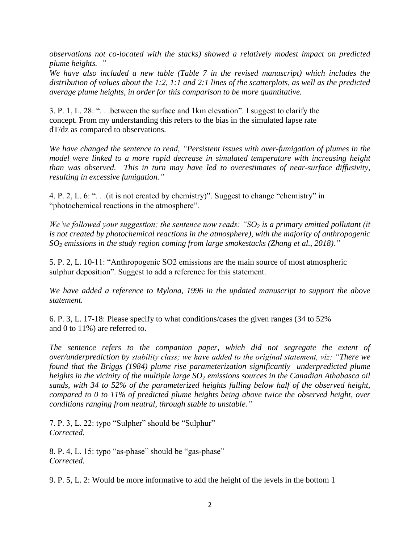*observations not co-located with the stacks) showed a relatively modest impact on predicted plume heights. "*

*We have also included a new table (Table 7 in the revised manuscript) which includes the distribution of values about the 1:2, 1:1 and 2:1 lines of the scatterplots, as well as the predicted average plume heights, in order for this comparison to be more quantitative.*

3. P. 1, L. 28: ". . .between the surface and 1km elevation". I suggest to clarify the concept. From my understanding this refers to the bias in the simulated lapse rate dT/dz as compared to observations.

*We have changed the sentence to read, "Persistent issues with over-fumigation of plumes in the model were linked to a more rapid decrease in simulated temperature with increasing height than was observed. This in turn may have led to overestimates of near-surface diffusivity, resulting in excessive fumigation."*

4. P. 2, L. 6: ". . .(it is not created by chemistry)". Suggest to change "chemistry" in "photochemical reactions in the atmosphere".

*We've followed your suggestion; the sentence now reads: "SO<sup>2</sup> is a primary emitted pollutant (it is not created by photochemical reactions in the atmosphere), with the majority of anthropogenic SO<sup>2</sup> emissions in the study region coming from large smokestacks (Zhang et al., 2018)."*

5. P. 2, L. 10-11: "Anthropogenic SO2 emissions are the main source of most atmospheric sulphur deposition". Suggest to add a reference for this statement.

*We have added a reference to Mylona, 1996 in the updated manuscript to support the above statement.*

6. P. 3, L. 17-18: Please specify to what conditions/cases the given ranges (34 to 52% and 0 to 11%) are referred to.

The sentence refers to the companion paper, which did not segregate the extent of *over/underprediction by stability class; we have added to the original statement, viz: "There we found that the Briggs (1984) plume rise parameterization significantly underpredicted plume heights in the vicinity of the multiple large SO<sup>2</sup> emissions sources in the Canadian Athabasca oil sands, with 34 to 52% of the parameterized heights falling below half of the observed height, compared to 0 to 11% of predicted plume heights being above twice the observed height, over conditions ranging from neutral, through stable to unstable."*

7. P. 3, L. 22: typo "Sulpher" should be "Sulphur" *Corrected.*

8. P. 4, L. 15: typo "as-phase" should be "gas-phase" *Corrected.*

9. P. 5, L. 2: Would be more informative to add the height of the levels in the bottom 1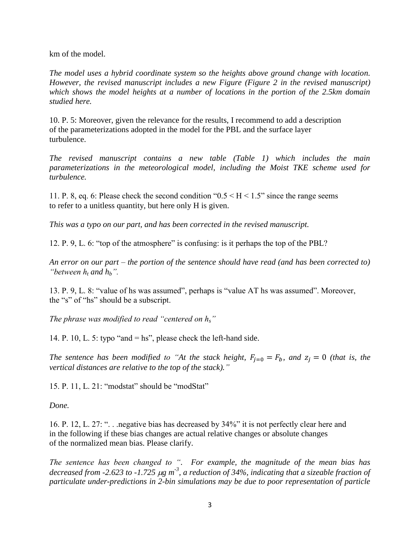km of the model.

*The model uses a hybrid coordinate system so the heights above ground change with location. However, the revised manuscript includes a new Figure (Figure 2 in the revised manuscript) which shows the model heights at a number of locations in the portion of the 2.5km domain studied here.*

10. P. 5: Moreover, given the relevance for the results, I recommend to add a description of the parameterizations adopted in the model for the PBL and the surface layer turbulence.

*The revised manuscript contains a new table (Table 1) which includes the main parameterizations in the meteorological model, including the Moist TKE scheme used for turbulence.*

11. P. 8, eq. 6: Please check the second condition " $0.5 \leq H \leq 1.5$ " since the range seems to refer to a unitless quantity, but here only H is given.

*This was a typo on our part, and has been corrected in the revised manuscript.*

12. P. 9, L. 6: "top of the atmosphere" is confusing: is it perhaps the top of the PBL?

*An error on our part – the portion of the sentence should have read (and has been corrected to) "between*  $h_t$  *and*  $h_b$ ".

13. P. 9, L. 8: "value of hs was assumed", perhaps is "value AT hs was assumed". Moreover, the "s" of "hs" should be a subscript.

*The phrase was modified to read "centered on hs"*

14. P. 10, L. 5: typo "and  $=$  hs", please check the left-hand side.

*The sentence has been modified to "At the stack height,*  $F_{j=0} = F_b$ *, and*  $z_j = 0$  *(that is, the vertical distances are relative to the top of the stack)."*

15. P. 11, L. 21: "modstat" should be "modStat"

*Done.*

16. P. 12, L. 27: ". . .negative bias has decreased by 34%" it is not perfectly clear here and in the following if these bias changes are actual relative changes or absolute changes of the normalized mean bias. Please clarify.

*The sentence has been changed to ". For example, the magnitude of the mean bias has*  decreased from -2.623 to -1.725  $\mu$ g m<sup>-3</sup>, a reduction of 34%, indicating that a sizeable fraction of *particulate under-predictions in 2-bin simulations may be due to poor representation of particle*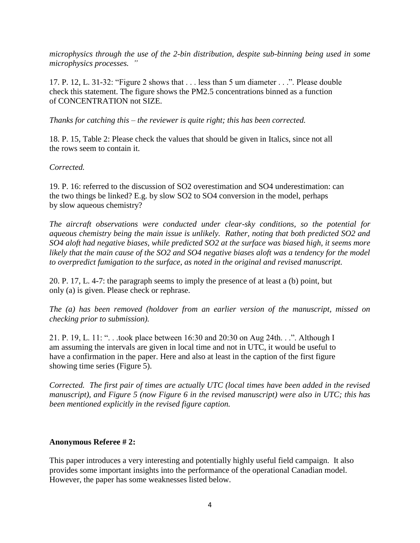*microphysics through the use of the 2-bin distribution, despite sub-binning being used in some microphysics processes. "*

17. P. 12, L. 31-32: "Figure 2 shows that . . . less than 5 um diameter . . .". Please double check this statement. The figure shows the PM2.5 concentrations binned as a function of CONCENTRATION not SIZE.

*Thanks for catching this – the reviewer is quite right; this has been corrected.*

18. P. 15, Table 2: Please check the values that should be given in Italics, since not all the rows seem to contain it.

# *Corrected.*

19. P. 16: referred to the discussion of SO2 overestimation and SO4 underestimation: can the two things be linked? E.g. by slow SO2 to SO4 conversion in the model, perhaps by slow aqueous chemistry?

*The aircraft observations were conducted under clear-sky conditions, so the potential for aqueous chemistry being the main issue is unlikely. Rather, noting that both predicted SO2 and SO4 aloft had negative biases, while predicted SO2 at the surface was biased high, it seems more likely that the main cause of the SO2 and SO4 negative biases aloft was a tendency for the model to overpredict fumigation to the surface, as noted in the original and revised manuscript.*

20. P. 17, L. 4-7: the paragraph seems to imply the presence of at least a (b) point, but only (a) is given. Please check or rephrase.

*The (a) has been removed (holdover from an earlier version of the manuscript, missed on checking prior to submission).*

21. P. 19, L. 11: ". . .took place between 16:30 and 20:30 on Aug 24th. . .". Although I am assuming the intervals are given in local time and not in UTC, it would be useful to have a confirmation in the paper. Here and also at least in the caption of the first figure showing time series (Figure 5).

*Corrected. The first pair of times are actually UTC (local times have been added in the revised manuscript), and Figure 5 (now Figure 6 in the revised manuscript) were also in UTC; this has been mentioned explicitly in the revised figure caption.*

### **Anonymous Referee # 2:**

This paper introduces a very interesting and potentially highly useful field campaign. It also provides some important insights into the performance of the operational Canadian model. However, the paper has some weaknesses listed below.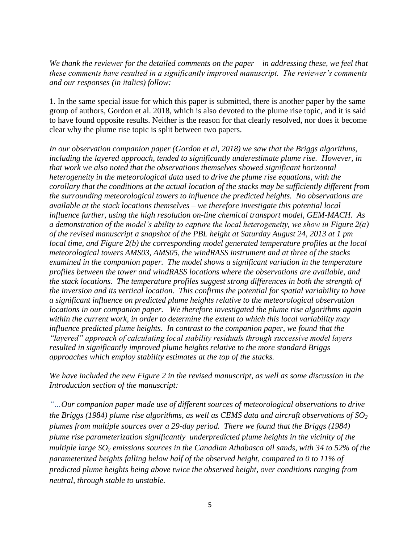*We thank the reviewer for the detailed comments on the paper – in addressing these, we feel that these comments have resulted in a significantly improved manuscript. The reviewer's comments and our responses (in italics) follow:*

1. In the same special issue for which this paper is submitted, there is another paper by the same group of authors, Gordon et al. 2018, which is also devoted to the plume rise topic, and it is said to have found opposite results. Neither is the reason for that clearly resolved, nor does it become clear why the plume rise topic is split between two papers.

*In our observation companion paper (Gordon et al, 2018) we saw that the Briggs algorithms, including the layered approach, tended to significantly underestimate plume rise. However, in that work we also noted that the observations themselves showed significant horizontal heterogeneity in the meteorological data used to drive the plume rise equations, with the corollary that the conditions at the actual location of the stacks may be sufficiently different from the surrounding meteorological towers to influence the predicted heights. No observations are available at the stack locations themselves – we therefore investigate this potential local influence further, using the high resolution on-line chemical transport model, GEM-MACH. As a demonstration of the model's ability to capture the local heterogeneity, we show in Figure 2(a) of the revised manuscript a snapshot of the PBL height at Saturday August 24, 2013 at 1 pm local time, and Figure 2(b) the corresponding model generated temperature profiles at the local meteorological towers AMS03, AMS05, the windRASS instrument and at three of the stacks examined in the companion paper. The model shows a significant variation in the temperature profiles between the tower and windRASS locations where the observations are available, and the stack locations. The temperature profiles suggest strong differences in both the strength of the inversion and its vertical location. This confirms the potential for spatial variability to have a significant influence on predicted plume heights relative to the meteorological observation locations in our companion paper. We therefore investigated the plume rise algorithms again within the current work, in order to determine the extent to which this local variability may influence predicted plume heights. In contrast to the companion paper, we found that the "layered" approach of calculating local stability residuals through successive model layers resulted in significantly improved plume heights relative to the more standard Briggs approaches which employ stability estimates at the top of the stacks.* 

*We have included the new Figure 2 in the revised manuscript, as well as some discussion in the Introduction section of the manuscript:*

*"…Our companion paper made use of different sources of meteorological observations to drive the Briggs (1984) plume rise algorithms, as well as CEMS data and aircraft observations of SO<sup>2</sup> plumes from multiple sources over a 29-day period. There we found that the Briggs (1984) plume rise parameterization significantly underpredicted plume heights in the vicinity of the multiple large SO<sup>2</sup> emissions sources in the Canadian Athabasca oil sands, with 34 to 52% of the parameterized heights falling below half of the observed height, compared to 0 to 11% of predicted plume heights being above twice the observed height, over conditions ranging from neutral, through stable to unstable.*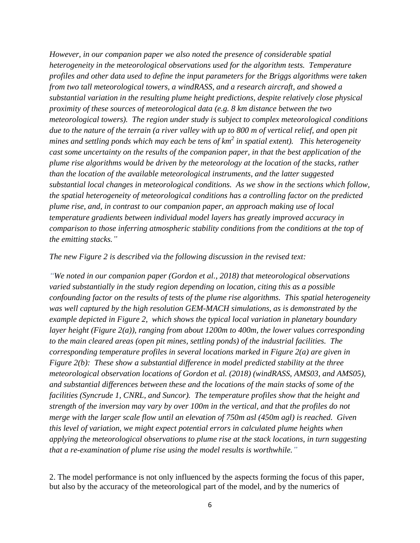*However, in our companion paper we also noted the presence of considerable spatial heterogeneity in the meteorological observations used for the algorithm tests. Temperature profiles and other data used to define the input parameters for the Briggs algorithms were taken from two tall meteorological towers, a windRASS, and a research aircraft, and showed a substantial variation in the resulting plume height predictions, despite relatively close physical proximity of these sources of meteorological data (e.g. 8 km distance between the two meteorological towers). The region under study is subject to complex meteorological conditions due to the nature of the terrain (a river valley with up to 800 m of vertical relief, and open pit mines and settling ponds which may each be tens of km<sup>2</sup> in spatial extent). This heterogeneity cast some uncertainty on the results of the companion paper, in that the best application of the plume rise algorithms would be driven by the meteorology at the location of the stacks, rather than the location of the available meteorological instruments, and the latter suggested substantial local changes in meteorological conditions. As we show in the sections which follow, the spatial heterogeneity of meteorological conditions has a controlling factor on the predicted plume rise, and, in contrast to our companion paper, an approach making use of local temperature gradients between individual model layers has greatly improved accuracy in comparison to those inferring atmospheric stability conditions from the conditions at the top of the emitting stacks."*

#### *The new Figure 2 is described via the following discussion in the revised text:*

*"We noted in our companion paper (Gordon et al., 2018) that meteorological observations varied substantially in the study region depending on location, citing this as a possible confounding factor on the results of tests of the plume rise algorithms. This spatial heterogeneity was well captured by the high resolution GEM-MACH simulations, as is demonstrated by the example depicted in Figure 2, which shows the typical local variation in planetary boundary layer height (Figure 2(a)), ranging from about 1200m to 400m, the lower values corresponding to the main cleared areas (open pit mines, settling ponds) of the industrial facilities. The corresponding temperature profiles in several locations marked in Figure 2(a) are given in Figure 2(b): These show a substantial difference in model predicted stability at the three meteorological observation locations of Gordon et al. (2018) (windRASS, AMS03, and AMS05), and substantial differences between these and the locations of the main stacks of some of the facilities (Syncrude 1, CNRL, and Suncor). The temperature profiles show that the height and strength of the inversion may vary by over 100m in the vertical, and that the profiles do not merge with the larger scale flow until an elevation of 750m asl (450m agl) is reached. Given this level of variation, we might expect potential errors in calculated plume heights when applying the meteorological observations to plume rise at the stack locations, in turn suggesting that a re-examination of plume rise using the model results is worthwhile."*

2. The model performance is not only influenced by the aspects forming the focus of this paper, but also by the accuracy of the meteorological part of the model, and by the numerics of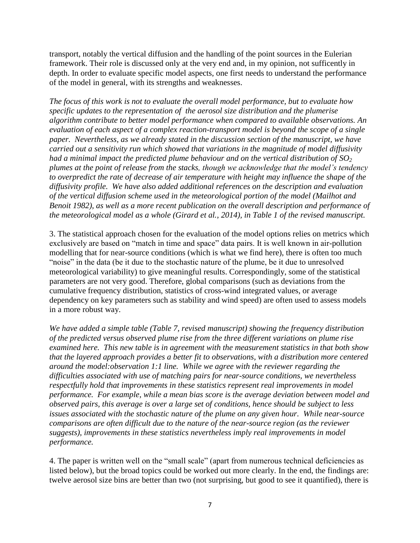transport, notably the vertical diffusion and the handling of the point sources in the Eulerian framework. Their role is discussed only at the very end and, in my opinion, not sufficently in depth. In order to evaluate specific model aspects, one first needs to understand the performance of the model in general, with its strengths and weaknesses.

*The focus of this work is not to evaluate the overall model performance, but to evaluate how specific updates to the representation of the aerosol size distribution and the plumerise algorithm contribute to better model performance when compared to available observations. An evaluation of each aspect of a complex reaction-transport model is beyond the scope of a single paper. Nevertheless, as we already stated in the discussion section of the manuscript, we have carried out a sensitivity run which showed that variations in the magnitude of model diffusivity had a minimal impact the predicted plume behaviour and on the vertical distribution of SO<sup>2</sup> plumes at the point of release from the stacks, though we acknowledge that the model's tendency to overpredict the rate of decrease of air temperature with height may influence the shape of the diffusivity profile. We have also added additional references on the description and evaluation of the vertical diffusion scheme used in the meteorological portion of the model (Mailhot and Benoit 1982), as well as a more recent publication on the overall description and performance of the meteorological model as a whole (Girard et al., 2014), in Table 1 of the revised manuscript.* 

3. The statistical approach chosen for the evaluation of the model options relies on metrics which exclusively are based on "match in time and space" data pairs. It is well known in air-pollution modelling that for near-source conditions (which is what we find here), there is often too much "noise" in the data (be it due to the stochastic nature of the plume, be it due to unresolved meteorological variability) to give meaningful results. Correspondingly, some of the statistical parameters are not very good. Therefore, global comparisons (such as deviations from the cumulative frequency distribution, statistics of cross-wind integrated values, or average dependency on key parameters such as stability and wind speed) are often used to assess models in a more robust way.

*We have added a simple table (Table 7, revised manuscript) showing the frequency distribution of the predicted versus observed plume rise from the three different variations on plume rise examined here. This new table is in agreement with the measurement statistics in that both show that the layered approach provides a better fit to observations, with a distribution more centered around the model:observation 1:1 line. While we agree with the reviewer regarding the difficulties associated with use of matching pairs for near-source conditions, we nevertheless respectfully hold that improvements in these statistics represent real improvements in model performance. For example, while a mean bias score is the average deviation between model and observed pairs, this average is over a large set of conditions, hence should be subject to less issues associated with the stochastic nature of the plume on any given hour. While near-source comparisons are often difficult due to the nature of the near-source region (as the reviewer suggests), improvements in these statistics nevertheless imply real improvements in model performance.* 

4. The paper is written well on the "small scale" (apart from numerous technical deficiencies as listed below), but the broad topics could be worked out more clearly. In the end, the findings are: twelve aerosol size bins are better than two (not surprising, but good to see it quantified), there is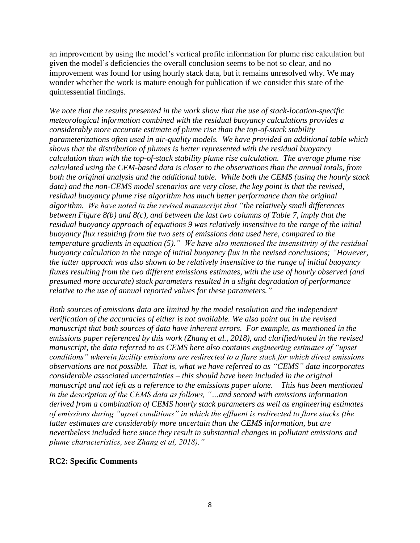an improvement by using the model's vertical profile information for plume rise calculation but given the model's deficiencies the overall conclusion seems to be not so clear, and no improvement was found for using hourly stack data, but it remains unresolved why. We may wonder whether the work is mature enough for publication if we consider this state of the quintessential findings.

*We note that the results presented in the work show that the use of stack-location-specific meteorological information combined with the residual buoyancy calculations provides a considerably more accurate estimate of plume rise than the top-of-stack stability parameterizations often used in air-quality models. We have provided an additional table which shows that the distribution of plumes is better represented with the residual buoyancy calculation than with the top-of-stack stability plume rise calculation. The average plume rise calculated using the CEM-based data is closer to the observations than the annual totals, from both the original analysis and the additional table. While both the CEMS (using the hourly stack data) and the non-CEMS model scenarios are very close, the key point is that the revised, residual buoyancy plume rise algorithm has much better performance than the original algorithm. We have noted in the revised manuscript that "the relatively small differences between Figure 8(b) and 8(c), and between the last two columns of Table 7, imply that the residual buoyancy approach of equations 9 was relatively insensitive to the range of the initial buoyancy flux resulting from the two sets of emissions data used here, compared to the temperature gradients in equation (5)." We have also mentioned the insensitivity of the residual buoyancy calculation to the range of initial buoyancy flux in the revised conclusions; "However, the latter approach was also shown to be relatively insensitive to the range of initial buoyancy fluxes resulting from the two different emissions estimates, with the use of hourly observed (and presumed more accurate) stack parameters resulted in a slight degradation of performance relative to the use of annual reported values for these parameters."*

*Both sources of emissions data are limited by the model resolution and the independent verification of the accuracies of either is not available. We also point out in the revised manuscript that both sources of data have inherent errors. For example, as mentioned in the emissions paper referenced by this work (Zhang et al., 2018), and clarified/noted in the revised manuscript, the data referred to as CEMS here also contains engineering estimates of "upset conditions" wherein facility emissions are redirected to a flare stack for which direct emissions observations are not possible. That is, what we have referred to as "CEMS" data incorporates considerable associated uncertainties – this should have been included in the original manuscript and not left as a reference to the emissions paper alone. This has been mentioned in the description of the CEMS data as follows, "…and second with emissions information derived from a combination of CEMS hourly stack parameters as well as engineering estimates of emissions during "upset conditions" in which the effluent is redirected to flare stacks (the latter estimates are considerably more uncertain than the CEMS information, but are nevertheless included here since they result in substantial changes in pollutant emissions and plume characteristics, see Zhang et al, 2018)."*

### **RC2: Specific Comments**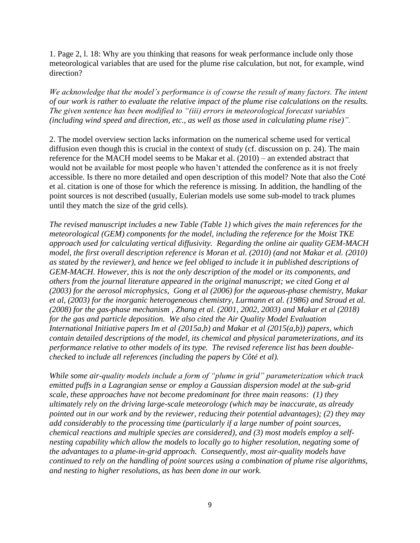1. Page 2, l. 18: Why are you thinking that reasons for weak performance include only those meteorological variables that are used for the plume rise calculation, but not, for example, wind direction?

*We acknowledge that the model's performance is of course the result of many factors. The intent of our work is rather to evaluate the relative impact of the plume rise calculations on the results. The given sentence has been modified to "(iii) errors in meteorological forecast variables (including wind speed and direction, etc., as well as those used in calculating plume rise)".*

2. The model overview section lacks information on the numerical scheme used for vertical diffusion even though this is crucial in the context of study (cf. discussion on p. 24). The main reference for the MACH model seems to be Makar et al. (2010) – an extended abstract that would not be available for most people who haven't attended the conference as it is not freely accessible. Is there no more detailed and open description of this model? Note that also the Coté et al. citation is one of those for which the reference is missing. In addition, the handling of the point sources is not described (usually, Eulerian models use some sub-model to track plumes until they match the size of the grid cells).

*The revised manuscript includes a new Table (Table 1) which gives the main references for the meteorological (GEM) components for the model, including the reference for the Moist TKE approach used for calculating vertical diffusivity. Regarding the online air quality GEM-MACH model, the first overall description reference is Moran et al. (2010) (and not Makar et al. (2010) as stated by the reviewer), and hence we feel obliged to include it in published descriptions of GEM-MACH. However, this is not the only description of the model or its components, and others from the journal literature appeared in the original manuscript; we cited Gong et al (2003) for the aerosol microphysics, Gong et al (2006) for the aqueous-phase chemistry, Makar et al, (2003) for the inorganic heterogeneous chemistry, Lurmann et al. (1986) and Stroud et al. (2008) for the gas-phase mechanism , Zhang et al. (2001, 2002, 2003) and Makar et al (2018) for the gas and particle deposition. We also cited the Air Quality Model Evaluation International Initiative papers Im et al (2015a,b) and Makar et al (2015(a,b)) papers, which contain detailed descriptions of the model, its chemical and physical parameterizations, and its performance relative to other models of its type. The revised reference list has been doublechecked to include all references (including the papers by Côté et al).*

*While some air-quality models include a form of "plume in grid" parameterization which track emitted puffs in a Lagrangian sense or employ a Gaussian dispersion model at the sub-grid scale, these approaches have not become predominant for three main reasons: (1) they ultimately rely on the driving large-scale meteorology (which may be inaccurate, as already pointed out in our work and by the reviewer, reducing their potential advantages); (2) they may add considerably to the processing time (particularly if a large number of point sources, chemical reactions and multiple species are considered), and (3) most models employ a selfnesting capability which allow the models to locally go to higher resolution, negating some of the advantages to a plume-in-grid approach. Consequently, most air-quality models have continued to rely on the handling of point sources using a combination of plume rise algorithms, and nesting to higher resolutions, as has been done in our work.*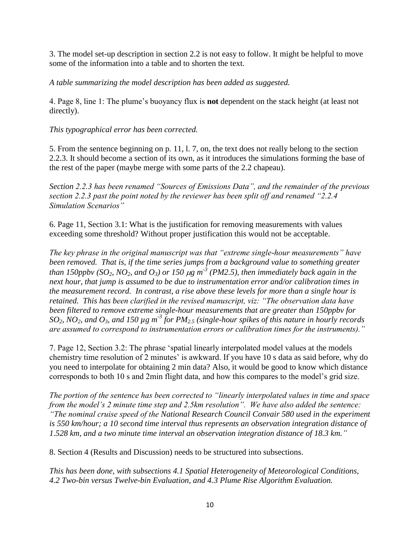3. The model set-up description in section 2.2 is not easy to follow. It might be helpful to move some of the information into a table and to shorten the text.

*A table summarizing the model description has been added as suggested.*

4. Page 8, line 1: The plume's buoyancy flux is **not** dependent on the stack height (at least not directly).

*This typographical error has been corrected.*

5. From the sentence beginning on p. 11, l. 7, on, the text does not really belong to the section 2.2.3. It should become a section of its own, as it introduces the simulations forming the base of the rest of the paper (maybe merge with some parts of the 2.2 chapeau).

*Section 2.2.3 has been renamed "Sources of Emissions Data", and the remainder of the previous section 2.2.3 past the point noted by the reviewer has been split off and renamed "2.2.4 Simulation Scenarios"* 

6. Page 11, Section 3.1: What is the justification for removing measurements with values exceeding some threshold? Without proper justification this would not be acceptable.

*The key phrase in the original manuscript was that "extreme single-hour measurements" have been removed. That is, if the time series jumps from a background value to something greater than 150ppbv (SO<sub>2</sub>, NO<sub>2</sub>, and O<sub>3</sub>) or 150*  $\mu$ *g m<sup>-3</sup> (PM2.5), then immediately back again in the next hour, that jump is assumed to be due to instrumentation error and/or calibration times in the measurement record. In contrast, a rise above these levels for more than a single hour is retained. This has been clarified in the revised manuscript, viz: "The observation data have been filtered to remove extreme single-hour measurements that are greater than 150ppbv for*   $SO_2$ ,  $NO_2$ , and  $O_3$ , and 150  $\mu$ g m<sup>-3</sup> for PM<sub>2.5</sub> (single-hour spikes of this nature in hourly records *are assumed to correspond to instrumentation errors or calibration times for the instruments)."*

7. Page 12, Section 3.2: The phrase 'spatial linearly interpolated model values at the models chemistry time resolution of 2 minutes' is awkward. If you have 10 s data as said before, why do you need to interpolate for obtaining 2 min data? Also, it would be good to know which distance corresponds to both 10 s and 2min flight data, and how this compares to the model's grid size.

*The portion of the sentence has been corrected to "linearly interpolated values in time and space from the model's 2 minute time step and 2.5km resolution". We have also added the sentence: "The nominal cruise speed of the National Research Council Convair 580 used in the experiment is 550 km/hour; a 10 second time interval thus represents an observation integration distance of 1.528 km, and a two minute time interval an observation integration distance of 18.3 km."*

8. Section 4 (Results and Discussion) needs to be structured into subsections.

*This has been done, with subsections 4.1 Spatial Heterogeneity of Meteorological Conditions, 4.2 Two-bin versus Twelve-bin Evaluation, and 4.3 Plume Rise Algorithm Evaluation.*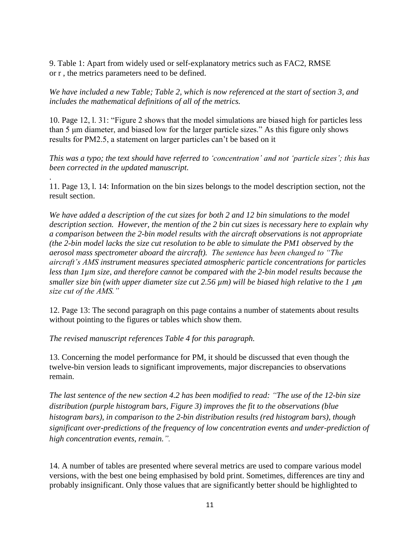9. Table 1: Apart from widely used or self-explanatory metrics such as FAC2, RMSE or r , the metrics parameters need to be defined.

*We have included a new Table; Table 2, which is now referenced at the start of section 3, and includes the mathematical definitions of all of the metrics.*

10. Page 12, l. 31: "Figure 2 shows that the model simulations are biased high for particles less than 5 μm diameter, and biased low for the larger particle sizes." As this figure only shows results for PM2.5, a statement on larger particles can't be based on it

*This was a typo; the text should have referred to 'concentration' and not 'particle sizes'; this has been corrected in the updated manuscript.*

11. Page 13, l. 14: Information on the bin sizes belongs to the model description section, not the result section.

*We have added a description of the cut sizes for both 2 and 12 bin simulations to the model description section. However, the mention of the 2 bin cut sizes is necessary here to explain why a comparison between the 2-bin model results with the aircraft observations is not appropriate (the 2-bin model lacks the size cut resolution to be able to simulate the PM1 observed by the aerosol mass spectrometer aboard the aircraft). The sentence has been changed to "The aircraft's AMS instrument measures speciated atmospheric particle concentrations for particles less than 1µm size, and therefore cannot be compared with the 2-bin model results because the smaller size bin (with upper diameter size cut 2.56 µm) will be biased high relative to the 1 µm size cut of the AMS."*

12. Page 13: The second paragraph on this page contains a number of statements about results without pointing to the figures or tables which show them.

*The revised manuscript references Table 4 for this paragraph.* 

.

13. Concerning the model performance for PM, it should be discussed that even though the twelve-bin version leads to significant improvements, major discrepancies to observations remain.

*The last sentence of the new section 4.2 has been modified to read: "The use of the 12-bin size distribution (purple histogram bars, Figure 3) improves the fit to the observations (blue histogram bars), in comparison to the 2-bin distribution results (red histogram bars), though significant over-predictions of the frequency of low concentration events and under-prediction of high concentration events, remain.".*

14. A number of tables are presented where several metrics are used to compare various model versions, with the best one being emphasised by bold print. Sometimes, differences are tiny and probably insignificant. Only those values that are significantly better should be highlighted to